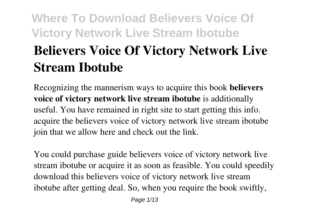# **Where To Download Believers Voice Of Victory Network Live Stream Ibotube Believers Voice Of Victory Network Live Stream Ibotube**

Recognizing the mannerism ways to acquire this book **believers voice of victory network live stream ibotube** is additionally useful. You have remained in right site to start getting this info. acquire the believers voice of victory network live stream ibotube join that we allow here and check out the link.

You could purchase guide believers voice of victory network live stream ibotube or acquire it as soon as feasible. You could speedily download this believers voice of victory network live stream ibotube after getting deal. So, when you require the book swiftly,

Page 1/13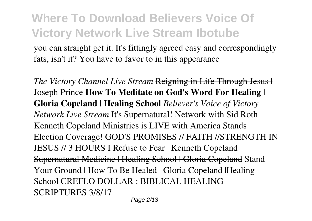you can straight get it. It's fittingly agreed easy and correspondingly fats, isn't it? You have to favor to in this appearance

*The Victory Channel Live Stream* Reigning in Life Through Jesus | Joseph Prince **How To Meditate on God's Word For Healing | Gloria Copeland | Healing School** *Believer's Voice of Victory Network Live Stream* It's Supernatural! Network with Sid Roth Kenneth Copeland Ministries is LIVE with America Stands Election Coverage! GOD'S PROMISES // FAITH //STRENGTH IN JESUS // 3 HOURS I Refuse to Fear | Kenneth Copeland Supernatural Medicine | Healing School | Gloria Copeland Stand Your Ground | How To Be Healed | Gloria Copeland | Healing School CREFLO DOLLAR : BIBLICAL HEALING SCRIPTURES 3/8/17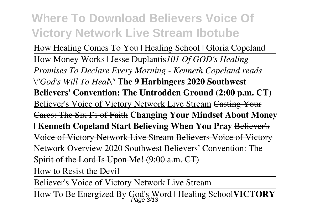How Healing Comes To You | Healing School | Gloria Copeland How Money Works | Jesse Duplantis*101 Of GOD's Healing Promises To Declare Every Morning - Kenneth Copeland reads \"God's Will To Heal\"* **The 9 Harbingers 2020 Southwest Believers' Convention: The Untrodden Ground (2:00 p.m. CT)** Believer's Voice of Victory Network Live Stream Casting Your Cares: The Six I's of Faith **Changing Your Mindset About Money | Kenneth Copeland Start Believing When You Pray** Believer's Voice of Victory Network Live Stream Believers Voice of Victory Network Overview 2020 Southwest Believers' Convention: The Spirit of the Lord Is Upon Me! (9:00 a.m. CT)

How to Resist the Devil

Believer's Voice of Victory Network Live Stream

How To Be Energized By God's Word | Healing School**VICTORY** Page 3/13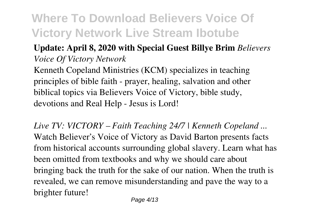#### **Update: April 8, 2020 with Special Guest Billye Brim** *Believers Voice Of Victory Network*

Kenneth Copeland Ministries (KCM) specializes in teaching principles of bible faith - prayer, healing, salvation and other biblical topics via Believers Voice of Victory, bible study, devotions and Real Help - Jesus is Lord!

*Live TV: VICTORY – Faith Teaching 24/7 | Kenneth Copeland ...* Watch Believer's Voice of Victory as David Barton presents facts from historical accounts surrounding global slavery. Learn what has been omitted from textbooks and why we should care about bringing back the truth for the sake of our nation. When the truth is revealed, we can remove misunderstanding and pave the way to a brighter future!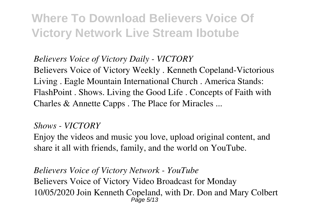#### *Believers Voice of Victory Daily - VICTORY*

Believers Voice of Victory Weekly . Kenneth Copeland-Victorious Living . Eagle Mountain International Church . America Stands: FlashPoint . Shows. Living the Good Life . Concepts of Faith with Charles & Annette Capps . The Place for Miracles ...

#### *Shows - VICTORY*

Enjoy the videos and music you love, upload original content, and share it all with friends, family, and the world on YouTube.

*Believers Voice of Victory Network - YouTube* Believers Voice of Victory Video Broadcast for Monday 10/05/2020 Join Kenneth Copeland, with Dr. Don and Mary Colbert Page 5/13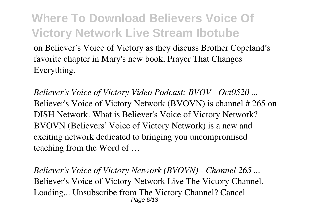on Believer's Voice of Victory as they discuss Brother Copeland's favorite chapter in Mary's new book, Prayer That Changes Everything.

*Believer's Voice of Victory Video Podcast: BVOV - Oct0520 ...* Believer's Voice of Victory Network (BVOVN) is channel # 265 on DISH Network. What is Believer's Voice of Victory Network? BVOVN (Believers' Voice of Victory Network) is a new and exciting network dedicated to bringing you uncompromised teaching from the Word of …

*Believer's Voice of Victory Network (BVOVN) - Channel 265 ...* Believer's Voice of Victory Network Live The Victory Channel. Loading... Unsubscribe from The Victory Channel? Cancel Page 6/13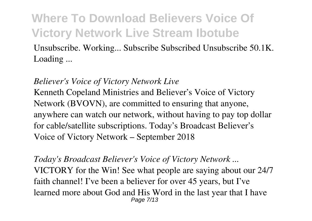Unsubscribe. Working... Subscribe Subscribed Unsubscribe 50.1K. Loading ...

#### *Believer's Voice of Victory Network Live*

Kenneth Copeland Ministries and Believer's Voice of Victory Network (BVOVN), are committed to ensuring that anyone, anywhere can watch our network, without having to pay top dollar for cable/satellite subscriptions. Today's Broadcast Believer's Voice of Victory Network – September 2018

*Today's Broadcast Believer's Voice of Victory Network ...* VICTORY for the Win! See what people are saying about our 24/7 faith channel! I've been a believer for over 45 years, but I've learned more about God and His Word in the last year that I have Page 7/13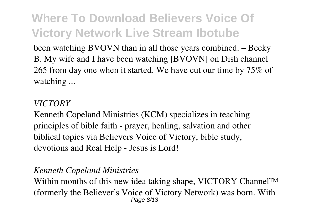been watching BVOVN than in all those years combined. – Becky B. My wife and I have been watching [BVOVN] on Dish channel 265 from day one when it started. We have cut our time by 75% of watching ...

#### *VICTORY*

Kenneth Copeland Ministries (KCM) specializes in teaching principles of bible faith - prayer, healing, salvation and other biblical topics via Believers Voice of Victory, bible study, devotions and Real Help - Jesus is Lord!

#### *Kenneth Copeland Ministries*

Within months of this new idea taking shape, VICTORY Channel™ (formerly the Believer's Voice of Victory Network) was born. With Page 8/13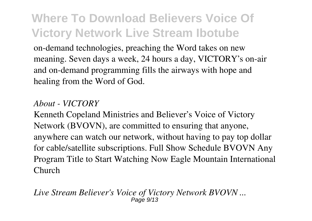on-demand technologies, preaching the Word takes on new meaning. Seven days a week, 24 hours a day, VICTORY's on-air and on-demand programming fills the airways with hope and healing from the Word of God.

#### *About - VICTORY*

Kenneth Copeland Ministries and Believer's Voice of Victory Network (BVOVN), are committed to ensuring that anyone, anywhere can watch our network, without having to pay top dollar for cable/satellite subscriptions. Full Show Schedule BVOVN Any Program Title to Start Watching Now Eagle Mountain International Church

*Live Stream Believer's Voice of Victory Network BVOVN ...* Page 9/13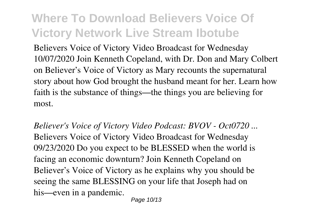Believers Voice of Victory Video Broadcast for Wednesday 10/07/2020 Join Kenneth Copeland, with Dr. Don and Mary Colbert on Believer's Voice of Victory as Mary recounts the supernatural story about how God brought the husband meant for her. Learn how faith is the substance of things—the things you are believing for most.

*Believer's Voice of Victory Video Podcast: BVOV - Oct0720 ...* Believers Voice of Victory Video Broadcast for Wednesday 09/23/2020 Do you expect to be BLESSED when the world is facing an economic downturn? Join Kenneth Copeland on Believer's Voice of Victory as he explains why you should be seeing the same BLESSING on your life that Joseph had on his—even in a pandemic.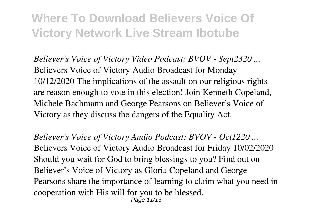*Believer's Voice of Victory Video Podcast: BVOV - Sept2320 ...* Believers Voice of Victory Audio Broadcast for Monday 10/12/2020 The implications of the assault on our religious rights are reason enough to vote in this election! Join Kenneth Copeland, Michele Bachmann and George Pearsons on Believer's Voice of Victory as they discuss the dangers of the Equality Act.

*Believer's Voice of Victory Audio Podcast: BVOV - Oct1220 ...* Believers Voice of Victory Audio Broadcast for Friday 10/02/2020 Should you wait for God to bring blessings to you? Find out on Believer's Voice of Victory as Gloria Copeland and George Pearsons share the importance of learning to claim what you need in cooperation with His will for you to be blessed. Page 11/13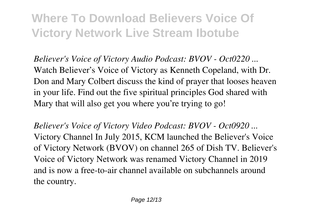*Believer's Voice of Victory Audio Podcast: BVOV - Oct0220 ...* Watch Believer's Voice of Victory as Kenneth Copeland, with Dr. Don and Mary Colbert discuss the kind of prayer that looses heaven in your life. Find out the five spiritual principles God shared with Mary that will also get you where you're trying to go!

*Believer's Voice of Victory Video Podcast: BVOV - Oct0920 ...* Victory Channel In July 2015, KCM launched the Believer's Voice of Victory Network (BVOV) on channel 265 of Dish TV. Believer's Voice of Victory Network was renamed Victory Channel in 2019 and is now a free-to-air channel available on subchannels around the country.